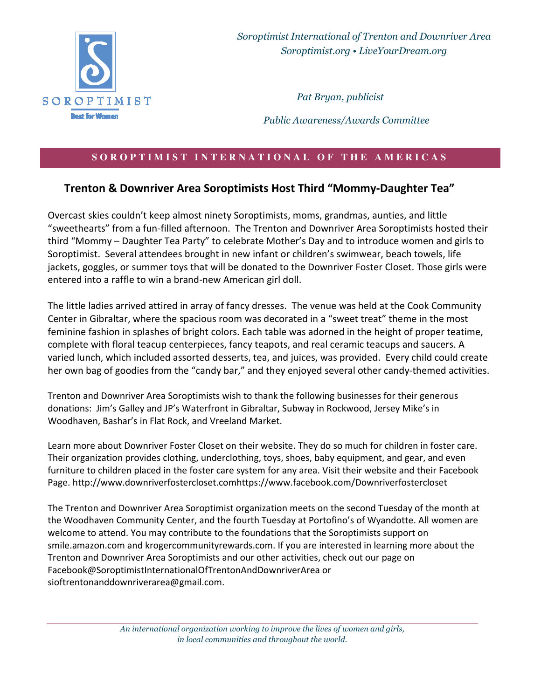

*Soroptimist International of Trenton and Downriver Area Soroptimist.org • LiveYourDream.org* 

*Pat Bryan, publicist* 

 *Public Awareness/Awards Committee*

## SOROPTIMIST INTERNATIONAL OF THE AMERICAS

## **Trenton & Downriver Area Soroptimists Host Third "Mommy-Daughter Tea"**

Overcast skies couldn't keep almost ninety Soroptimists, moms, grandmas, aunties, and little "sweethearts" from a fun-filled afternoon. The Trenton and Downriver Area Soroptimists hosted their third "Mommy – Daughter Tea Party" to celebrate Mother's Day and to introduce women and girls to Soroptimist. Several attendees brought in new infant or children's swimwear, beach towels, life jackets, goggles, or summer toys that will be donated to the Downriver Foster Closet. Those girls were entered into a raffle to win a brand-new American girl doll.

The little ladies arrived attired in array of fancy dresses. The venue was held at the Cook Community Center in Gibraltar, where the spacious room was decorated in a "sweet treat" theme in the most feminine fashion in splashes of bright colors. Each table was adorned in the height of proper teatime, complete with floral teacup centerpieces, fancy teapots, and real ceramic teacups and saucers. A varied lunch, which included assorted desserts, tea, and juices, was provided. Every child could create her own bag of goodies from the "candy bar," and they enjoyed several other candy-themed activities.

Trenton and Downriver Area Soroptimists wish to thank the following businesses for their generous donations: Jim's Galley and JP's Waterfront in Gibraltar, Subway in Rockwood, Jersey Mike's in Woodhaven, Bashar's in Flat Rock, and Vreeland Market.

Learn more about Downriver Foster Closet on their website. They do so much for children in foster care. Their organization provides clothing, underclothing, toys, shoes, baby equipment, and gear, and even furniture to children placed in the foster care system for any area. Visit their website and their Facebook Page. http://www.downriverfostercloset.comhttps://www.facebook.com/Downriverfostercloset

The Trenton and Downriver Area Soroptimist organization meets on the second Tuesday of the month at the Woodhaven Community Center, and the fourth Tuesday at Portofino's of Wyandotte. All women are welcome to attend. You may contribute to the foundations that the Soroptimists support on smile.amazon.com and krogercommunityrewards.com. If you are interested in learning more about the Trenton and Downriver Area Soroptimists and our other activities, check out our page on Facebook@SoroptimistInternationalOfTrentonAndDownriverArea or sioftrentonanddownriverarea@gmail.com.